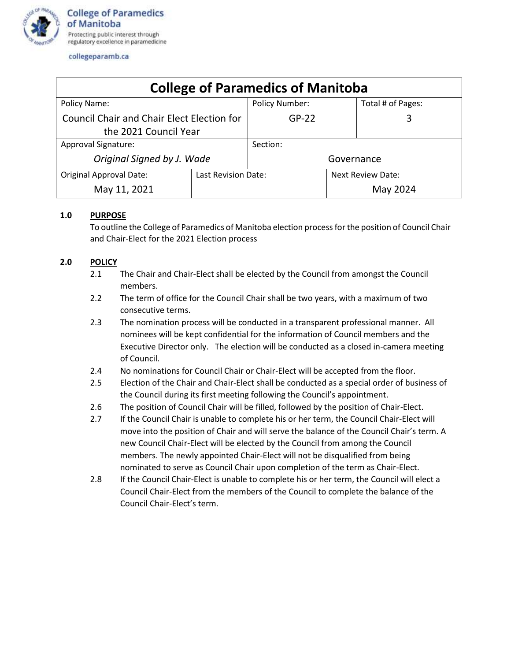

#### collegeparamb.ca

|                                                   |                     | <b>College of Paramedics of Manitoba</b> |            |                          |
|---------------------------------------------------|---------------------|------------------------------------------|------------|--------------------------|
| Policy Name:                                      |                     | <b>Policy Number:</b>                    |            | Total # of Pages:        |
| <b>Council Chair and Chair Elect Election for</b> |                     | $GP-22$                                  |            | 3                        |
| the 2021 Council Year                             |                     |                                          |            |                          |
| <b>Approval Signature:</b>                        |                     | Section:                                 |            |                          |
| Original Signed by J. Wade                        |                     |                                          | Governance |                          |
| <b>Original Approval Date:</b>                    | Last Revision Date: |                                          |            | <b>Next Review Date:</b> |
| May 11, 2021                                      |                     |                                          |            | May 2024                 |

### **1.0 PURPOSE**

To outline the College of Paramedics of Manitoba election process for the position of Council Chair and Chair-Elect for the 2021 Election process

# **2.0 POLICY**

- 2.1 The Chair and Chair-Elect shall be elected by the Council from amongst the Council members.
- 2.2 The term of office for the Council Chair shall be two years, with a maximum of two consecutive terms.
- 2.3 The nomination process will be conducted in a transparent professional manner. All nominees will be kept confidential for the information of Council members and the Executive Director only. The election will be conducted as a closed in-camera meeting of Council.
- 2.4 No nominations for Council Chair or Chair-Elect will be accepted from the floor.
- 2.5 Election of the Chair and Chair-Elect shall be conducted as a special order of business of the Council during its first meeting following the Council's appointment.
- 2.6 The position of Council Chair will be filled, followed by the position of Chair-Elect.
- 2.7 If the Council Chair is unable to complete his or her term, the Council Chair-Elect will move into the position of Chair and will serve the balance of the Council Chair's term. A new Council Chair-Elect will be elected by the Council from among the Council members. The newly appointed Chair-Elect will not be disqualified from being nominated to serve as Council Chair upon completion of the term as Chair-Elect.
- 2.8 If the Council Chair-Elect is unable to complete his or her term, the Council will elect a Council Chair-Elect from the members of the Council to complete the balance of the Council Chair-Elect's term.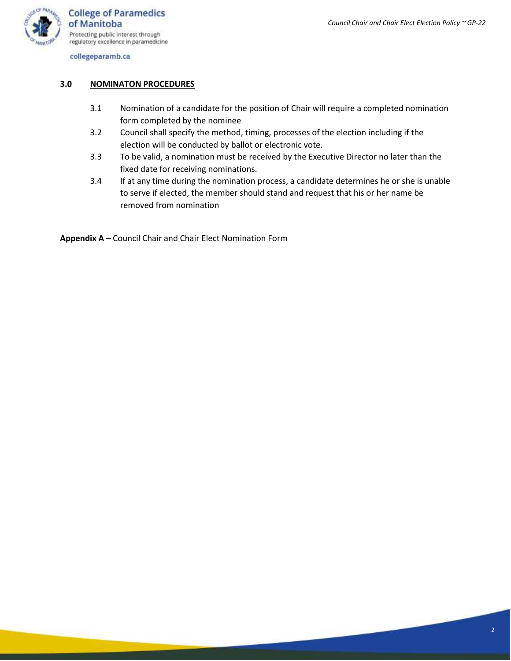

collegeparamb.ca

#### **3.0 NOMINATON PROCEDURES**

- 3.1 Nomination of a candidate for the position of Chair will require a completed nomination form completed by the nominee
- 3.2 Council shall specify the method, timing, processes of the election including if the election will be conducted by ballot or electronic vote.
- 3.3 To be valid, a nomination must be received by the Executive Director no later than the fixed date for receiving nominations.
- 3.4 If at any time during the nomination process, a candidate determines he or she is unable to serve if elected, the member should stand and request that his or her name be removed from nomination

**Appendix A** – Council Chair and Chair Elect Nomination Form